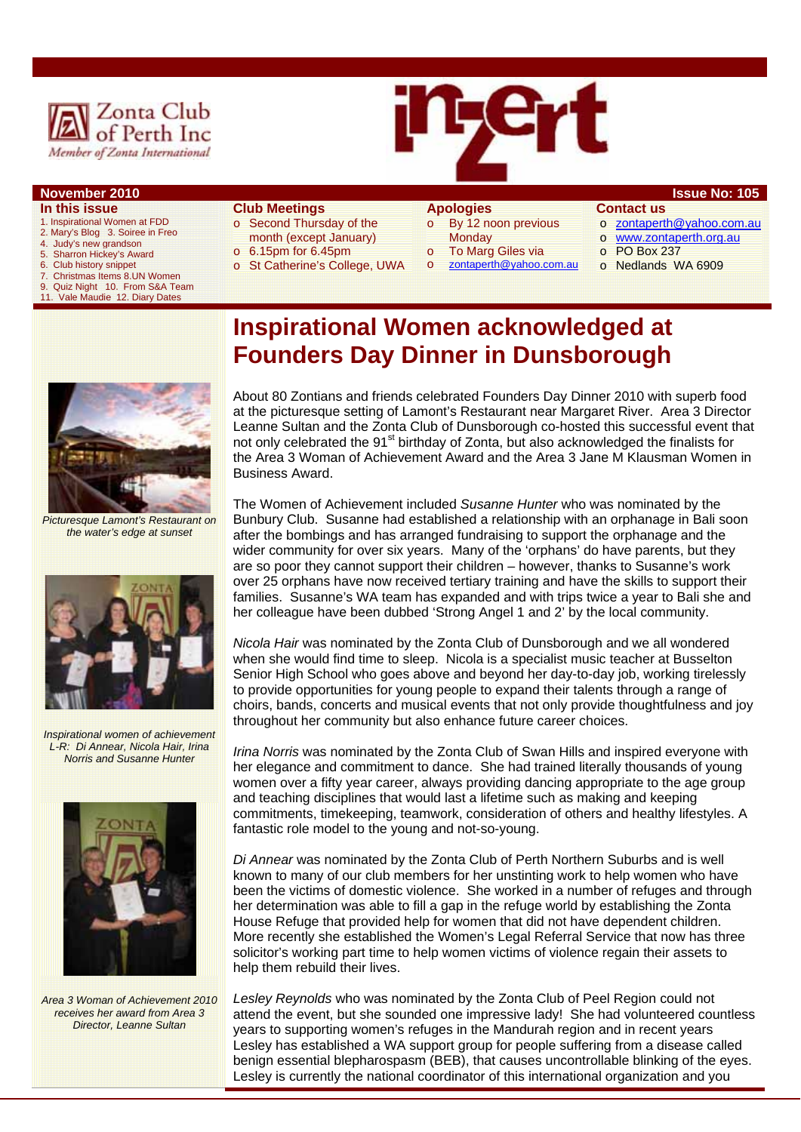



## **November 2010 ISSUE 2010 ISSUE 2010 ISSUE 2010 ISSUE 2010 ISSUE 2010 ISSUE 2010**

- **In this issue**
- 1. Inspirational Women at FDD
- 2. Mary's Blog 3. Soiree in Freo 4. Judy's new grandson
- 
- 5. Sharron Hickey's Award 6. Club history snippet<br>7. Christmas Items 8.L
- 
- 7. Christmas Items 8.UN Women<br>9. Quiz Night 10. From S&A Tea Quiz Night 10. From S&A Team
- Vale Maudie 12. Diary Dates

#### **Club Meetings**

- o Second Thursday of the month (except January)
- 
- o 6.15pm for 6.45pm
- o St Catherine's College, UWA

## **Apologies**

- o By 12 noon previous **Monday**
- **To Marg Giles via**
- o zontaperth@yahoo.com.au

# **Contact us**

- o zontaperth@yahoo.com.au
- o www.zontaperth.org.au
- o PO Box 237
- o Nedlands WA 6909



*Picturesque Lamont's Restaurant on the water's edge at sunset* 



*Inspirational women of achievement L-R: Di Annear, Nicola Hair, Irina Norris and Susanne Hunter* 



*Area 3 Woman of Achievement 2010 receives her award from Area 3 Director, Leanne Sultan* 

# **Inspirational Women acknowledged at Founders Day Dinner in Dunsborough**

About 80 Zontians and friends celebrated Founders Day Dinner 2010 with superb food at the picturesque setting of Lamont's Restaurant near Margaret River. Area 3 Director Leanne Sultan and the Zonta Club of Dunsborough co-hosted this successful event that not only celebrated the  $91<sup>st</sup>$  birthday of Zonta, but also acknowledged the finalists for the Area 3 Woman of Achievement Award and the Area 3 Jane M Klausman Women in Business Award.

The Women of Achievement included *Susanne Hunter* who was nominated by the Bunbury Club. Susanne had established a relationship with an orphanage in Bali soon after the bombings and has arranged fundraising to support the orphanage and the wider community for over six years. Many of the 'orphans' do have parents, but they are so poor they cannot support their children – however, thanks to Susanne's work over 25 orphans have now received tertiary training and have the skills to support their families. Susanne's WA team has expanded and with trips twice a year to Bali she and her colleague have been dubbed 'Strong Angel 1 and 2' by the local community.

*Nicola Hair* was nominated by the Zonta Club of Dunsborough and we all wondered when she would find time to sleep. Nicola is a specialist music teacher at Busselton Senior High School who goes above and beyond her day-to-day job, working tirelessly to provide opportunities for young people to expand their talents through a range of choirs, bands, concerts and musical events that not only provide thoughtfulness and joy throughout her community but also enhance future career choices.

*Irina Norris* was nominated by the Zonta Club of Swan Hills and inspired everyone with her elegance and commitment to dance. She had trained literally thousands of young women over a fifty year career, always providing dancing appropriate to the age group and teaching disciplines that would last a lifetime such as making and keeping commitments, timekeeping, teamwork, consideration of others and healthy lifestyles. A fantastic role model to the young and not-so-young.

*Di Annear* was nominated by the Zonta Club of Perth Northern Suburbs and is well known to many of our club members for her unstinting work to help women who have been the victims of domestic violence. She worked in a number of refuges and through her determination was able to fill a gap in the refuge world by establishing the Zonta House Refuge that provided help for women that did not have dependent children. More recently she established the Women's Legal Referral Service that now has three solicitor's working part time to help women victims of violence regain their assets to help them rebuild their lives.

*Lesley Reynolds* who was nominated by the Zonta Club of Peel Region could not attend the event, but she sounded one impressive lady! She had volunteered countless years to supporting women's refuges in the Mandurah region and in recent years Lesley has established a WA support group for people suffering from a disease called benign essential blepharospasm (BEB), that causes uncontrollable blinking of the eyes. Lesley is currently the national coordinator of this international organization and you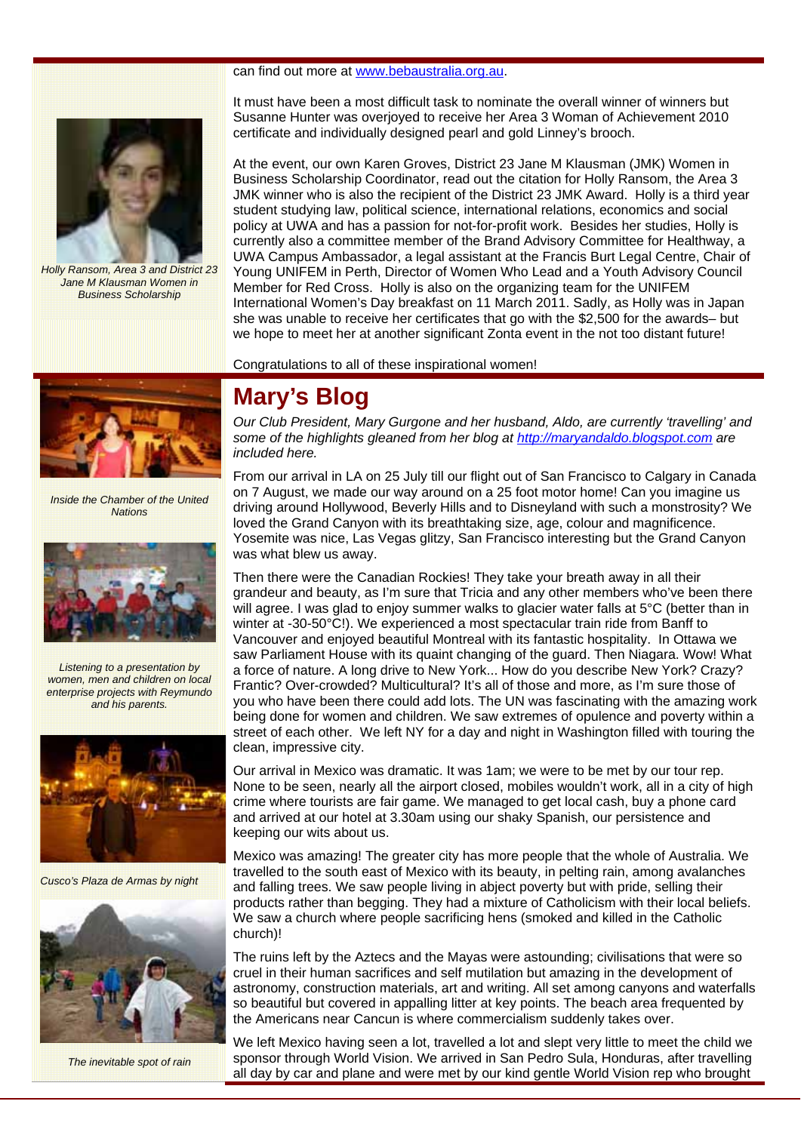#### can find out more at www.bebaustralia.org.au.



*Holly Ransom, Area 3 and District 23 Jane M Klausman Women in Business Scholarship* 

It must have been a most difficult task to nominate the overall winner of winners but Susanne Hunter was overjoyed to receive her Area 3 Woman of Achievement 2010 certificate and individually designed pearl and gold Linney's brooch.

At the event, our own Karen Groves, District 23 Jane M Klausman (JMK) Women in Business Scholarship Coordinator, read out the citation for Holly Ransom, the Area 3 JMK winner who is also the recipient of the District 23 JMK Award. Holly is a third year student studying law, political science, international relations, economics and social policy at UWA and has a passion for not-for-profit work. Besides her studies, Holly is currently also a committee member of the Brand Advisory Committee for Healthway, a UWA Campus Ambassador, a legal assistant at the Francis Burt Legal Centre, Chair of Young UNIFEM in Perth, Director of Women Who Lead and a Youth Advisory Council Member for Red Cross. Holly is also on the organizing team for the UNIFEM International Women's Day breakfast on 11 March 2011. Sadly, as Holly was in Japan she was unable to receive her certificates that go with the \$2,500 for the awards– but we hope to meet her at another significant Zonta event in the not too distant future!

Congratulations to all of these inspirational women!



*Inside the Chamber of the United Nations* 



*Listening to a presentation by women, men and children on local enterprise projects with Reymundo and his parents.* 



*Cusco's Plaza de Armas by night* 



*The inevitable spot of rain* 

# **Mary's Blog**

*Our Club President, Mary Gurgone and her husband, Aldo, are currently 'travelling' and some of the highlights gleaned from her blog at http://maryandaldo.blogspot.com are included here.* 

From our arrival in LA on 25 July till our flight out of San Francisco to Calgary in Canada on 7 August, we made our way around on a 25 foot motor home! Can you imagine us driving around Hollywood, Beverly Hills and to Disneyland with such a monstrosity? We loved the Grand Canyon with its breathtaking size, age, colour and magnificence. Yosemite was nice, Las Vegas glitzy, San Francisco interesting but the Grand Canyon was what blew us away.

Then there were the Canadian Rockies! They take your breath away in all their grandeur and beauty, as I'm sure that Tricia and any other members who've been there will agree. I was glad to enjoy summer walks to glacier water falls at 5°C (better than in winter at -30-50°C!). We experienced a most spectacular train ride from Banff to Vancouver and enjoyed beautiful Montreal with its fantastic hospitality. In Ottawa we saw Parliament House with its quaint changing of the guard. Then Niagara. Wow! What a force of nature. A long drive to New York... How do you describe New York? Crazy? Frantic? Over-crowded? Multicultural? It's all of those and more, as I'm sure those of you who have been there could add lots. The UN was fascinating with the amazing work being done for women and children. We saw extremes of opulence and poverty within a street of each other. We left NY for a day and night in Washington filled with touring the clean, impressive city.

Our arrival in Mexico was dramatic. It was 1am; we were to be met by our tour rep. None to be seen, nearly all the airport closed, mobiles wouldn't work, all in a city of high crime where tourists are fair game. We managed to get local cash, buy a phone card and arrived at our hotel at 3.30am using our shaky Spanish, our persistence and keeping our wits about us.

Mexico was amazing! The greater city has more people that the whole of Australia. We travelled to the south east of Mexico with its beauty, in pelting rain, among avalanches and falling trees. We saw people living in abject poverty but with pride, selling their products rather than begging. They had a mixture of Catholicism with their local beliefs. We saw a church where people sacrificing hens (smoked and killed in the Catholic church)!

The ruins left by the Aztecs and the Mayas were astounding; civilisations that were so cruel in their human sacrifices and self mutilation but amazing in the development of astronomy, construction materials, art and writing. All set among canyons and waterfalls so beautiful but covered in appalling litter at key points. The beach area frequented by the Americans near Cancun is where commercialism suddenly takes over.

We left Mexico having seen a lot, travelled a lot and slept very little to meet the child we sponsor through World Vision. We arrived in San Pedro Sula, Honduras, after travelling all day by car and plane and were met by our kind gentle World Vision rep who brought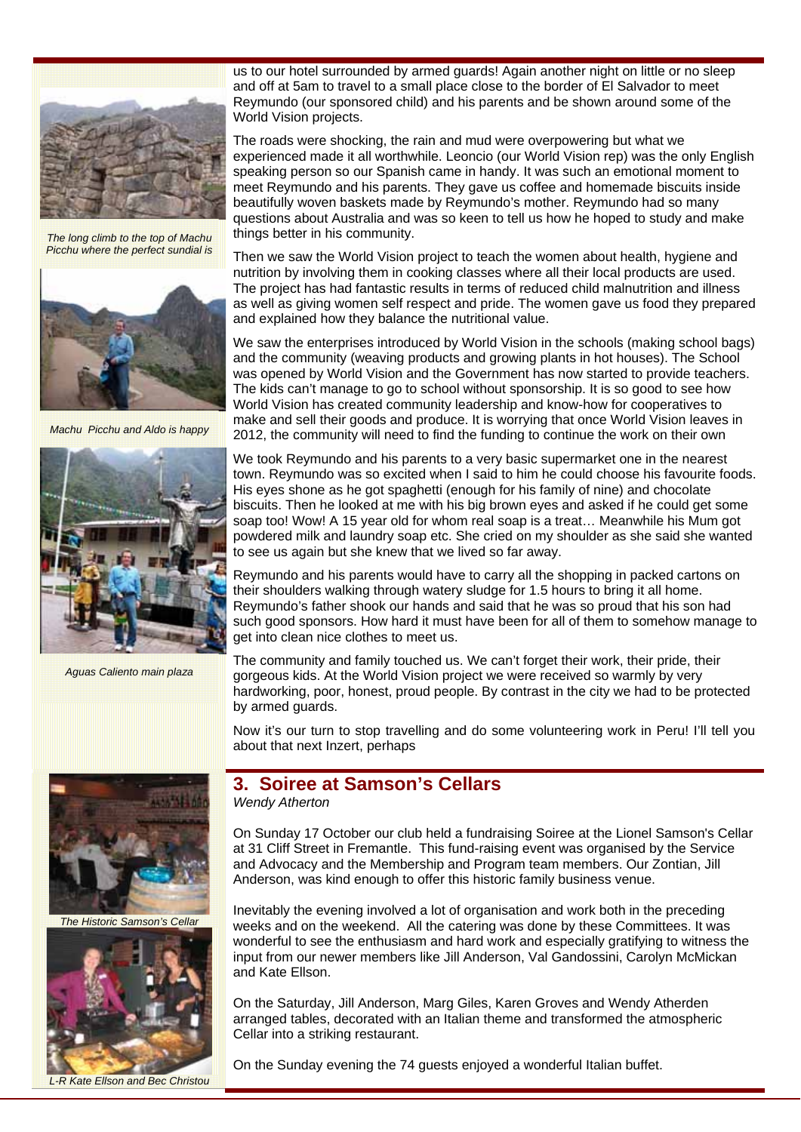

*The long climb to the top of Machu Picchu where the perfect sundial is* 



*Machu Picchu and Aldo is happy* 



*Aguas Caliento main plaza* 

us to our hotel surrounded by armed guards! Again another night on little or no sleep and off at 5am to travel to a small place close to the border of El Salvador to meet Reymundo (our sponsored child) and his parents and be shown around some of the World Vision projects.

The roads were shocking, the rain and mud were overpowering but what we experienced made it all worthwhile. Leoncio (our World Vision rep) was the only English speaking person so our Spanish came in handy. It was such an emotional moment to meet Reymundo and his parents. They gave us coffee and homemade biscuits inside beautifully woven baskets made by Reymundo's mother. Reymundo had so many questions about Australia and was so keen to tell us how he hoped to study and make things better in his community.

Then we saw the World Vision project to teach the women about health, hygiene and nutrition by involving them in cooking classes where all their local products are used. The project has had fantastic results in terms of reduced child malnutrition and illness as well as giving women self respect and pride. The women gave us food they prepared and explained how they balance the nutritional value.

We saw the enterprises introduced by World Vision in the schools (making school bags) and the community (weaving products and growing plants in hot houses). The School was opened by World Vision and the Government has now started to provide teachers. The kids can't manage to go to school without sponsorship. It is so good to see how World Vision has created community leadership and know-how for cooperatives to make and sell their goods and produce. It is worrying that once World Vision leaves in 2012, the community will need to find the funding to continue the work on their own

We took Reymundo and his parents to a very basic supermarket one in the nearest town. Reymundo was so excited when I said to him he could choose his favourite foods. His eyes shone as he got spaghetti (enough for his family of nine) and chocolate biscuits. Then he looked at me with his big brown eyes and asked if he could get some soap too! Wow! A 15 year old for whom real soap is a treat… Meanwhile his Mum got powdered milk and laundry soap etc. She cried on my shoulder as she said she wanted to see us again but she knew that we lived so far away.

Reymundo and his parents would have to carry all the shopping in packed cartons on their shoulders walking through watery sludge for 1.5 hours to bring it all home. Reymundo's father shook our hands and said that he was so proud that his son had such good sponsors. How hard it must have been for all of them to somehow manage to get into clean nice clothes to meet us.

The community and family touched us. We can't forget their work, their pride, their gorgeous kids. At the World Vision project we were received so warmly by very hardworking, poor, honest, proud people. By contrast in the city we had to be protected by armed guards.

Now it's our turn to stop travelling and do some volunteering work in Peru! I'll tell you about that next Inzert, perhaps



**The Historic Samson's Cella** 



*L-R Kate Ellson and Bec Christou* 

#### **3. Soiree at Samson's Cellars**

*Wendy Atherton* 

On Sunday 17 October our club held a fundraising Soiree at the Lionel Samson's Cellar at 31 Cliff Street in Fremantle. This fund-raising event was organised by the Service and Advocacy and the Membership and Program team members. Our Zontian, Jill Anderson, was kind enough to offer this historic family business venue.

Inevitably the evening involved a lot of organisation and work both in the preceding weeks and on the weekend. All the catering was done by these Committees. It was wonderful to see the enthusiasm and hard work and especially gratifying to witness the input from our newer members like Jill Anderson, Val Gandossini, Carolyn McMickan and Kate Ellson.

On the Saturday, Jill Anderson, Marg Giles, Karen Groves and Wendy Atherden arranged tables, decorated with an Italian theme and transformed the atmospheric Cellar into a striking restaurant.

On the Sunday evening the 74 guests enjoyed a wonderful Italian buffet.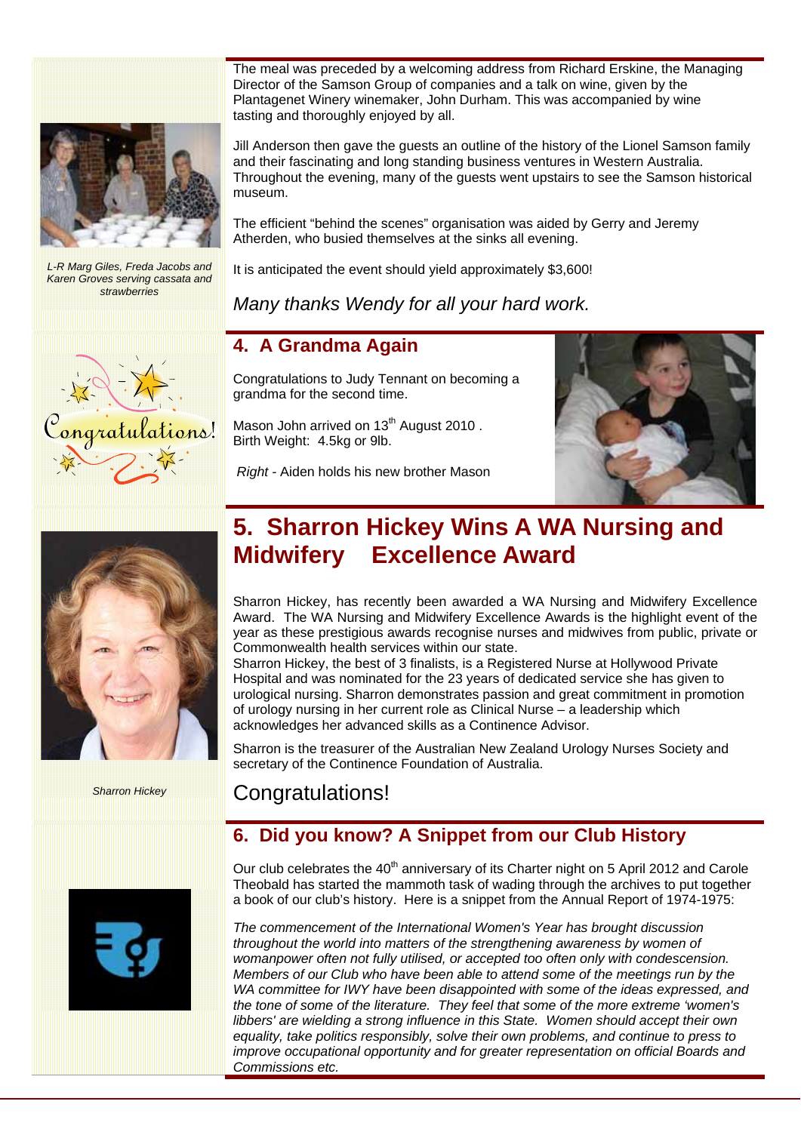The meal was preceded by a welcoming address from Richard Erskine, the Managing Director of the Samson Group of companies and a talk on wine, given by the Plantagenet Winery winemaker, John Durham. This was accompanied by wine tasting and thoroughly enjoyed by all.



*L-R Marg Giles, Freda Jacobs and Karen Groves serving cassata and strawberries* 

Jill Anderson then gave the guests an outline of the history of the Lionel Samson family and their fascinating and long standing business ventures in Western Australia. Throughout the evening, many of the guests went upstairs to see the Samson historical museum.

The efficient "behind the scenes" organisation was aided by Gerry and Jeremy Atherden, who busied themselves at the sinks all evening.

It is anticipated the event should yield approximately \$3,600!

## *Many thanks Wendy for all your hard work.*

# Congratulat

## **4. A Grandma Again**

Congratulations to Judy Tennant on becoming a grandma for the second time.

Mason John arrived on 13<sup>th</sup> August 2010. Birth Weight: 4.5kg or 9lb.

*Right -* Aiden holds his new brother Mason





*Sharron Hickey* 

# **5. Sharron Hickey Wins A WA Nursing and Midwifery Excellence Award**

Sharron Hickey, has recently been awarded a WA Nursing and Midwifery Excellence Award. The WA Nursing and Midwifery Excellence Awards is the highlight event of the year as these prestigious awards recognise nurses and midwives from public, private or

Commonwealth health services within our state.<br>Sharron Hickey, the best of 3 finalists, is a Registered Nurse at Hollywood Private Hospital and was nominated for the 23 years of dedicated service she has given to urological nursing. Sharron demonstrates passion and great commitment in promotion of urology nursing in her current role as Clinical Nurse – a leadership which acknowledges her advanced skills as a Continence Advisor.

Sharron is the treasurer of the Australian New Zealand Urology Nurses Society and secretary of the Continence Foundation of Australia.

## Congratulations!

## **6. Did you know? A Snippet from our Club History**

Our club celebrates the 40<sup>th</sup> anniversary of its Charter night on 5 April 2012 and Carole Theobald has started the mammoth task of wading through the archives to put together a book of our club's history. Here is a snippet from the Annual Report of 1974-1975:

*The commencement of the International Women's Year has brought discussion throughout the world into matters of the strengthening awareness by women of womanpower often not fully utilised, or accepted too often only with condescension. Members of our Club who have been able to attend some of the meetings run by the WA committee for IWY have been disappointed with some of the ideas expressed, and the tone of some of the literature. They feel that some of the more extreme 'women's libbers' are wielding a strong influence in this State. Women should accept their own equality, take politics responsibly, solve their own problems, and continue to press to improve occupational opportunity and for greater representation on official Boards and Commissions etc.* 

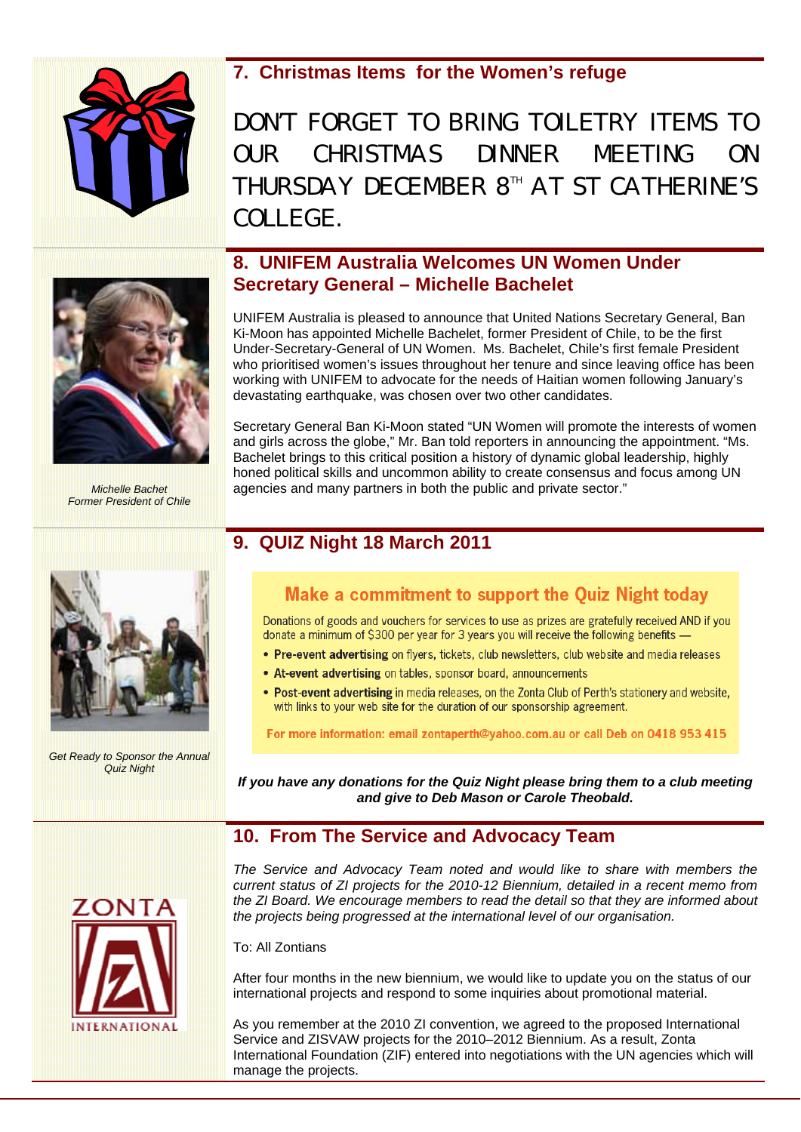

## **7. Christmas Items for the Women's refuge**

# DON'T FORGET TO BRING TOILETRY ITEMS TO OUR CHRISTMAS DINNER MEETING ON THURSDAY DECEMBER 8<sup>TH</sup> AT ST CATHERINE'S COLLEGE.

## **8. UNIFEM Australia Welcomes UN Women Under Secretary General – Michelle Bachelet**

UNIFEM Australia is pleased to announce that United Nations Secretary General, Ban Ki-Moon has appointed Michelle Bachelet, former President of Chile, to be the first Under-Secretary-General of UN Women. Ms. Bachelet, Chile's first female President who prioritised women's issues throughout her tenure and since leaving office has been working with UNIFEM to advocate for the needs of Haitian women following January's devastating earthquake, was chosen over two other candidates.

Secretary General Ban Ki-Moon stated "UN Women will promote the interests of women and girls across the globe," Mr. Ban told reporters in announcing the appointment. "Ms. Bachelet brings to this critical position a history of dynamic global leadership, highly honed political skills and uncommon ability to create consensus and focus among UN agencies and many partners in both the public and private sector."



*Former President of Chile* 





Donations of goods and vouchers for services to use as prizes are gratefully received AND if you donate a minimum of \$300 per year for 3 years you will receive the following benefits -

- . Pre-event advertising on flyers, tickets, club newsletters, club website and media releases
- At-event advertising on tables, sponsor board, announcements
- . Post-event advertising in media releases, on the Zonta Club of Perth's stationery and website, with links to your web site for the duration of our sponsorship agreement.

For more information: email zontaperth@yahoo.com.au or call Deb on 0418 953 415

*If you have any donations for the Quiz Night please bring them to a club meeting and give to Deb Mason or Carole Theobald.* 

## **10. From The Service and Advocacy Team**



*The Service and Advocacy Team noted and would like to share with members the current status of ZI projects for the 2010-12 Biennium, detailed in a recent memo from the ZI Board. We encourage members to read the detail so that they are informed about the projects being progressed at the international level of our organisation.* 

To: All Zontians

After four months in the new biennium, we would like to update you on the status of our international projects and respond to some inquiries about promotional material.

As you remember at the 2010 ZI convention, we agreed to the proposed International Service and ZISVAW projects for the 2010–2012 Biennium. As a result, Zonta International Foundation (ZIF) entered into negotiations with the UN agencies which will manage the projects.

*Get Ready to Sponsor the Annual Quiz Night*